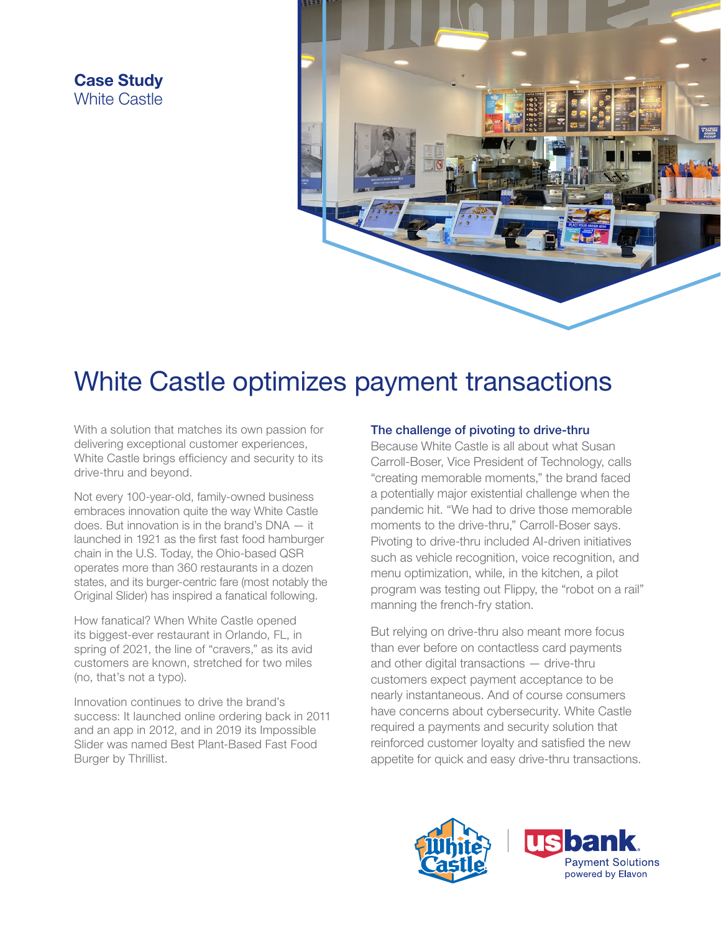## Case Study White Castle



# White Castle optimizes payment transactions

With a solution that matches its own passion for delivering exceptional customer experiences, White Castle brings efficiency and security to its drive-thru and beyond.

Not every 100-year-old, family-owned business embraces innovation quite the way White Castle does. But innovation is in the brand's DNA — it launched in 1921 as the first fast food hamburger chain in the U.S. Today, the Ohio-based QSR operates more than 360 restaurants in a dozen states, and its burger-centric fare (most notably the Original Slider) has inspired a fanatical following.

How fanatical? When White Castle opened its biggest-ever restaurant in Orlando, FL, in spring of 2021, the line of "cravers," as its avid customers are known, stretched for two miles (no, that's not a typo).

Innovation continues to drive the brand's success: It launched online ordering back in 2011 and an app in 2012, and in 2019 its Impossible Slider was named Best Plant-Based Fast Food Burger by Thrillist.

### The challenge of pivoting to drive-thru

Because White Castle is all about what Susan Carroll-Boser, Vice President of Technology, calls "creating memorable moments," the brand faced a potentially major existential challenge when the pandemic hit. "We had to drive those memorable moments to the drive-thru," Carroll-Boser says. Pivoting to drive-thru included AI-driven initiatives such as vehicle recognition, voice recognition, and menu optimization, while, in the kitchen, a pilot program was testing out Flippy, the "robot on a rail" manning the french-fry station.

But relying on drive-thru also meant more focus than ever before on contactless card payments and other digital transactions — drive-thru customers expect payment acceptance to be nearly instantaneous. And of course consumers have concerns about cybersecurity. White Castle required a payments and security solution that reinforced customer loyalty and satisfied the new appetite for quick and easy drive-thru transactions.